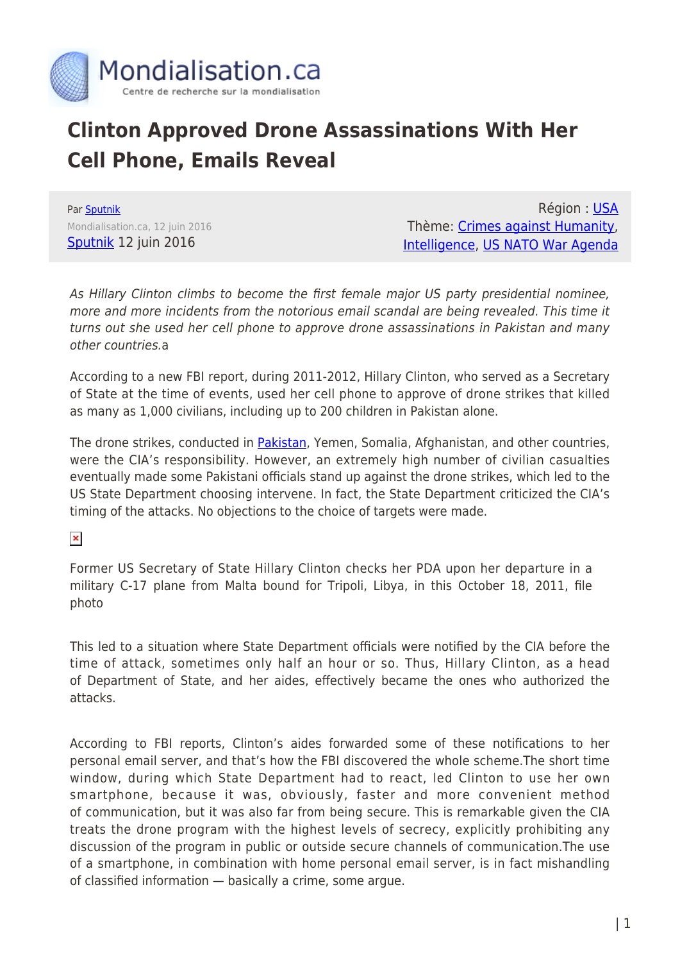

## **Clinton Approved Drone Assassinations With Her Cell Phone, Emails Reveal**

Par [Sputnik](https://www.mondialisation.ca/author/sputnik) Mondialisation.ca, 12 juin 2016 [Sputnik](http://sputniknews.com/politics/20160612/1041190424/Clinton-Drone-Assassinations-Cell-Phone.html) 12 juin 2016

Région : [USA](https://www.mondialisation.ca/region/usa) Thème: [Crimes against Humanity](https://www.mondialisation.ca/theme/crimes-against-humanity), [Intelligence](https://www.mondialisation.ca/theme/intelligence), [US NATO War Agenda](https://www.mondialisation.ca/theme/us-nato-war-agenda)

As Hillary Clinton climbs to become the first female major US party presidential nominee, more and more incidents from the notorious email scandal are being revealed. This time it turns out she used her cell phone to approve drone assassinations in Pakistan and many other countries.a

According to a new FBI report, during 2011-2012, Hillary Clinton, who served as a Secretary of State at the time of events, used her cell phone to approve of drone strikes that killed as many as 1,000 civilians, including up to 200 children in Pakistan alone.

The drone strikes, conducted in **Pakistan**, Yemen, Somalia, Afghanistan, and other countries, were the CIA's responsibility. However, an extremely high number of civilian casualties eventually made some Pakistani officials stand up against the drone strikes, which led to the US State Department choosing intervene. In fact, the State Department criticized the CIA's timing of the attacks. No objections to the choice of targets were made.

 $\pmb{\times}$ 

Former US Secretary of State Hillary Clinton checks her PDA upon her departure in a military C-17 plane from Malta bound for Tripoli, Libya, in this October 18, 2011, file photo

This led to a situation where State Department officials were notified by the CIA before the time of attack, sometimes only half an hour or so. Thus, Hillary Clinton, as a head of Department of State, and her aides, effectively became the ones who authorized the attacks.

According to FBI reports, Clinton's aides forwarded some of these notifications to her personal email server, and that's how the FBI discovered the whole scheme.The short time window, during which State Department had to react, led Clinton to use her own smartphone, because it was, obviously, faster and more convenient method of communication, but it was also far from being secure. This is remarkable given the CIA treats the drone program with the highest levels of secrecy, explicitly prohibiting any discussion of the program in public or outside secure channels of communication.The use of a smartphone, in combination with home personal email server, is in fact mishandling of classified information — basically a crime, some argue.